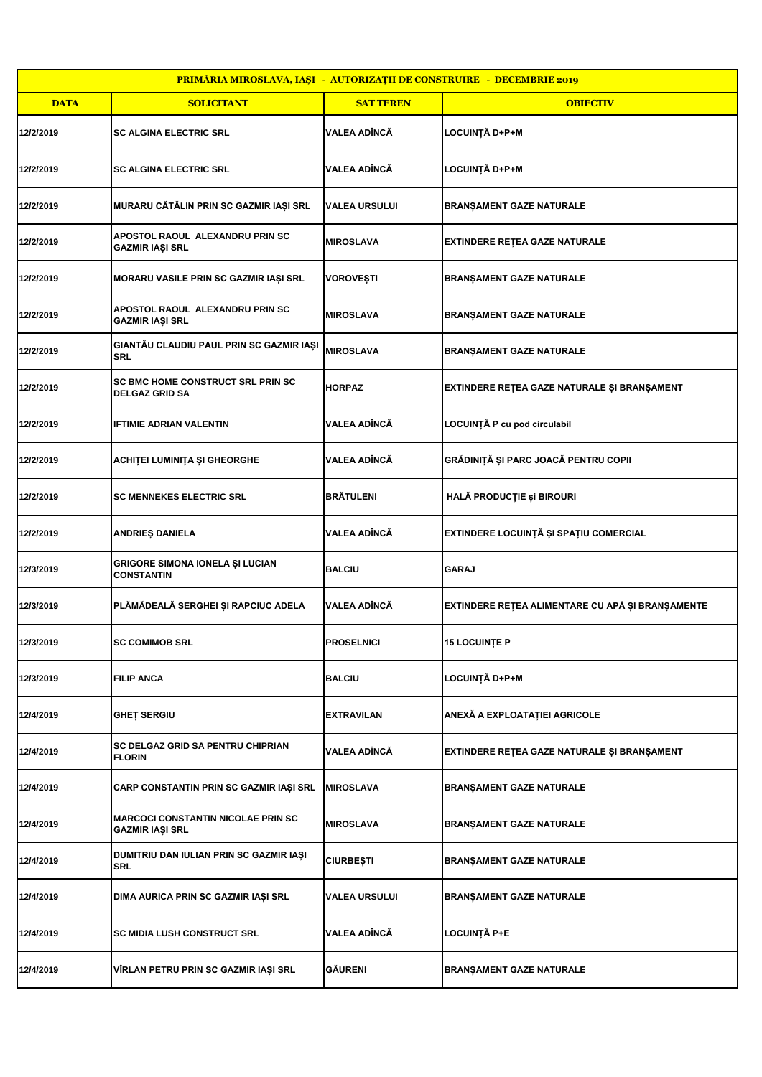| PRIMĂRIA MIROSLAVA, IAȘI - AUTORIZAȚII DE CONSTRUIRE - DECEMBRIE 2019 |                                                             |                      |                                                  |
|-----------------------------------------------------------------------|-------------------------------------------------------------|----------------------|--------------------------------------------------|
| <b>DATA</b>                                                           | <b>SOLICITANT</b>                                           | <b>SAT TEREN</b>     | <b>OBIECTIV</b>                                  |
| 12/2/2019                                                             | <b>SC ALGINA ELECTRIC SRL</b>                               | VALEA ADÎNCĂ         | LOCUINȚĂ D+P+M                                   |
| 12/2/2019                                                             | <b>SC ALGINA ELECTRIC SRL</b>                               | VALEA ADÎNCĂ         | LOCUINȚĂ D+P+M                                   |
| 12/2/2019                                                             | MURARU CĂTĂLIN PRIN SC GAZMIR IAȘI SRL                      | <b>VALEA URSULUI</b> | <b>BRANŞAMENT GAZE NATURALE</b>                  |
| 12/2/2019                                                             | APOSTOL RAOUL ALEXANDRU PRIN SC<br>GAZMIR IAŞI SRL          | <b>MIROSLAVA</b>     | EXTINDERE REȚEA GAZE NATURALE                    |
| 12/2/2019                                                             | MORARU VASILE PRIN SC GAZMIR IAŞI SRL                       | VOROVEȘTI            | <b>BRANŞAMENT GAZE NATURALE</b>                  |
| 12/2/2019                                                             | APOSTOL RAOUL ALEXANDRU PRIN SC<br>GAZMIR IAȘI SRL          | <b>MIROSLAVA</b>     | <b>BRANŞAMENT GAZE NATURALE</b>                  |
| 12/2/2019                                                             | GIANTĂU CLAUDIU PAUL PRIN SC GAZMIR IAȘI<br>SRL             | <b>MIROSLAVA</b>     | <b>BRANŞAMENT GAZE NATURALE</b>                  |
| 12/2/2019                                                             | SC BMC HOME CONSTRUCT SRL PRIN SC<br><b>DELGAZ GRID SA</b>  | <b>HORPAZ</b>        | EXTINDERE REȚEA GAZE NATURALE ȘI BRANȘAMENT      |
| 12/2/2019                                                             | IFTIMIE ADRIAN VALENTIN                                     | <b>VALEA ADÎNCĂ</b>  | LOCUINȚĂ P cu pod circulabil                     |
| 12/2/2019                                                             | ACHIȚEI LUMINIȚA ȘI GHEORGHE                                | VALEA ADÎNCĂ         | GRĂDINIȚĂ ȘI PARC JOACĂ PENTRU COPII             |
| 12/2/2019                                                             | <b>SC MENNEKES ELECTRIC SRL</b>                             | <b>BRÄTULENI</b>     | HALĂ PRODUCȚIE și BIROURI                        |
| 12/2/2019                                                             | ANDRIEȘ DANIELA                                             | <b>VALEA ADÎNCĂ</b>  | EXTINDERE LOCUINȚĂ ȘI SPAȚIU COMERCIAL           |
| 12/3/2019                                                             | <b>GRIGORE SIMONA IONELA ȘI LUCIAN</b><br><b>CONSTANTIN</b> | <b>BALCIU</b>        | <b>GARAJ</b>                                     |
| 12/3/2019                                                             | PLĂMĂDEALĂ SERGHEI ȘI RAPCIUC ADELA                         | VALEA ADÎNCĂ         | EXTINDERE REȚEA ALIMENTARE CU APĂ ȘI BRANȘAMENTE |
| 12/3/2019                                                             | <b>SC COMIMOB SRL</b>                                       | <b>PROSELNICI</b>    | <b>15 LOCUINTE P</b>                             |
| 12/3/2019                                                             | <b>FILIP ANCA</b>                                           | <b>BALCIU</b>        | LOCUINȚĂ D+P+M                                   |
| 12/4/2019                                                             | GHET SERGIU                                                 | <b>EXTRAVILAN</b>    | ANEXĂ A EXPLOATAȚIEI AGRICOLE                    |
| 12/4/2019                                                             | SC DELGAZ GRID SA PENTRU CHIPRIAN<br><b>FLORIN</b>          | VALEA ADÎNCĂ         | EXTINDERE REȚEA GAZE NATURALE ȘI BRANȘAMENT      |
| 12/4/2019                                                             | CARP CONSTANTIN PRIN SC GAZMIR IAȘI SRL                     | <b> MIROSLAVA</b>    | <b>BRANŞAMENT GAZE NATURALE</b>                  |
| 12/4/2019                                                             | MARCOCI CONSTANTIN NICOLAE PRIN SC<br>GAZMIR IAŞI SRL       | <b>MIROSLAVA</b>     | <b>BRANȘAMENT GAZE NATURALE</b>                  |
| 12/4/2019                                                             | DUMITRIU DAN IULIAN PRIN SC GAZMIR IAȘI<br>SRL              | CIURBEȘTI            | <b>BRANŞAMENT GAZE NATURALE</b>                  |
| 12/4/2019                                                             | DIMA AURICA PRIN SC GAZMIR IAȘI SRL                         | VALEA URSULUI        | <b>BRANŞAMENT GAZE NATURALE</b>                  |
| 12/4/2019                                                             | SC MIDIA LUSH CONSTRUCT SRL                                 | VALEA ADÎNCA         | <b>LOCUINȚĂ P+E</b>                              |
| 12/4/2019                                                             | VIRLAN PETRU PRIN SC GAZMIR IAŞI SRL                        | <b>GAURENI</b>       | <b>BRANŞAMENT GAZE NATURALE</b>                  |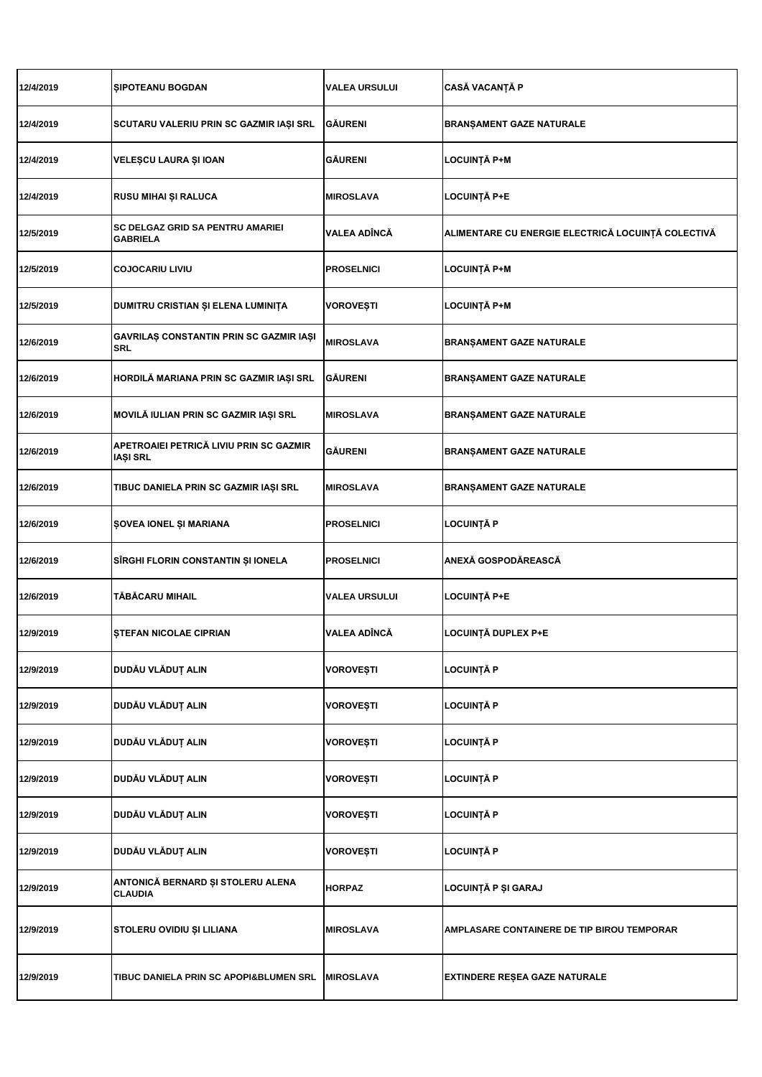| 12/4/2019 | <b>SIPOTEANU BOGDAN</b>                                    | <b>VALEA URSULUI</b> | <b>CASĂ VACANȚĂ P</b>                              |
|-----------|------------------------------------------------------------|----------------------|----------------------------------------------------|
| 12/4/2019 | SCUTARU VALERIU PRIN SC GAZMIR IAȘI SRL                    | <b>GÄURENI</b>       | <b>BRANŞAMENT GAZE NATURALE</b>                    |
| 12/4/2019 | VELEȘCU LAURA ȘI IOAN                                      | GÅURENI              | <b>LOCUINȚĂ P+M</b>                                |
| 12/4/2019 | RUSU MIHAI ȘI RALUCA                                       | MIROSLAVA            | LOCUINȚĂ P+E                                       |
| 12/5/2019 | <b>SC DELGAZ GRID SA PENTRU AMARIEI</b><br><b>GABRIELA</b> | VALEA ADÎNCĂ         | ALIMENTARE CU ENERGIE ELECTRICĂ LOCUINȚĂ COLECTIVĂ |
| 12/5/2019 | <b>COJOCARIU LIVIU</b>                                     | <b>PROSELNICI</b>    | <b>LOCUINȚĂ P+M</b>                                |
| 12/5/2019 | DUMITRU CRISTIAN ȘI ELENA LUMINIȚA                         | VOROVEȘTI            | LOCUINȚĂ P+M                                       |
| 12/6/2019 | GAVRILAȘ CONSTANTIN PRIN SC GAZMIR IAȘI<br><b>SRL</b>      | <b>MIROSLAVA</b>     | <b>BRANŞAMENT GAZE NATURALE</b>                    |
| 12/6/2019 | HORDILĂ MARIANA PRIN SC GAZMIR IAȘI SRL                    | <b>GÄURENI</b>       | BRANȘAMENT GAZE NATURALE                           |
| 12/6/2019 | MOVILĂ IULIAN PRIN SC GAZMIR IAȘI SRL                      | <b>MIROSLAVA</b>     | <b>BRANŞAMENT GAZE NATURALE</b>                    |
| 12/6/2019 | APETROAIEI PETRICĂ LIVIU PRIN SC GAZMIR<br><b>IAȘI SRL</b> | GÅURENI              | BRANȘAMENT GAZE NATURALE                           |
| 12/6/2019 | TIBUC DANIELA PRIN SC GAZMIR IAȘI SRL                      | <b>MIROSLAVA</b>     | <b>BRANŞAMENT GAZE NATURALE</b>                    |
| 12/6/2019 | ŞOVEA IONEL ŞI MARIANA                                     | <b>PROSELNICI</b>    | <b>LOCUINȚĂ P</b>                                  |
| 12/6/2019 | SÎRGHI FLORIN CONSTANTIN ȘI IONELA                         | <b>PROSELNICI</b>    | ANEXĂ GOSPODĂREASCĂ                                |
| 12/6/2019 | TĂBĂCARU MIHAIL                                            | VALEA URSULUI        | <b>LOCUINȚĂ P+E</b>                                |
| 12/9/2019 | <b>STEFAN NICOLAE CIPRIAN</b>                              | VALEA ADÎNCĂ         | LOCUINȚĂ DUPLEX P+E                                |
| 12/9/2019 | DUDĂU VLĂDUȚ ALIN                                          | <b>VOROVEȘTI</b>     | <b>LOCUINȚĂ P</b>                                  |
| 12/9/2019 | DUDĂU VLĂDUȚ ALIN                                          | <b>VOROVEȘTI</b>     | <b>LOCUINȚĂ P</b>                                  |
| 12/9/2019 | DUDĂU VLĂDUȚ ALIN                                          | <b>VOROVEȘTI</b>     | <b>LOCUINȚĂ P</b>                                  |
| 12/9/2019 | DUDĂU VLĂDUȚ ALIN                                          | <b>VOROVEȘTI</b>     | <b>LOCUINȚĂ P</b>                                  |
| 12/9/2019 | DUDĂU VLĂDUȚ ALIN                                          | VOROVEȘTI            | <b>LOCUINȚĂ P</b>                                  |
| 12/9/2019 | DUDĂU VLĂDUȚ ALIN                                          | VOROVEȘTI            | <b>LOCUINȚĂ P</b>                                  |
| 12/9/2019 | ANTONICĂ BERNARD ȘI STOLERU ALENA<br><b>CLAUDIA</b>        | <b>HORPAZ</b>        | LOCUINȚĂ P ȘI GARAJ                                |
| 12/9/2019 | STOLERU OVIDIU ȘI LILIANA                                  | <b>MIROSLAVA</b>     | <b>AMPLASARE CONTAINERE DE TIP BIROU TEMPORAR</b>  |
| 12/9/2019 | TIBUC DANIELA PRIN SC APOPI&BLUMEN SRL                     | <b>MIROSLAVA</b>     | EXTINDERE REȘEA GAZE NATURALE                      |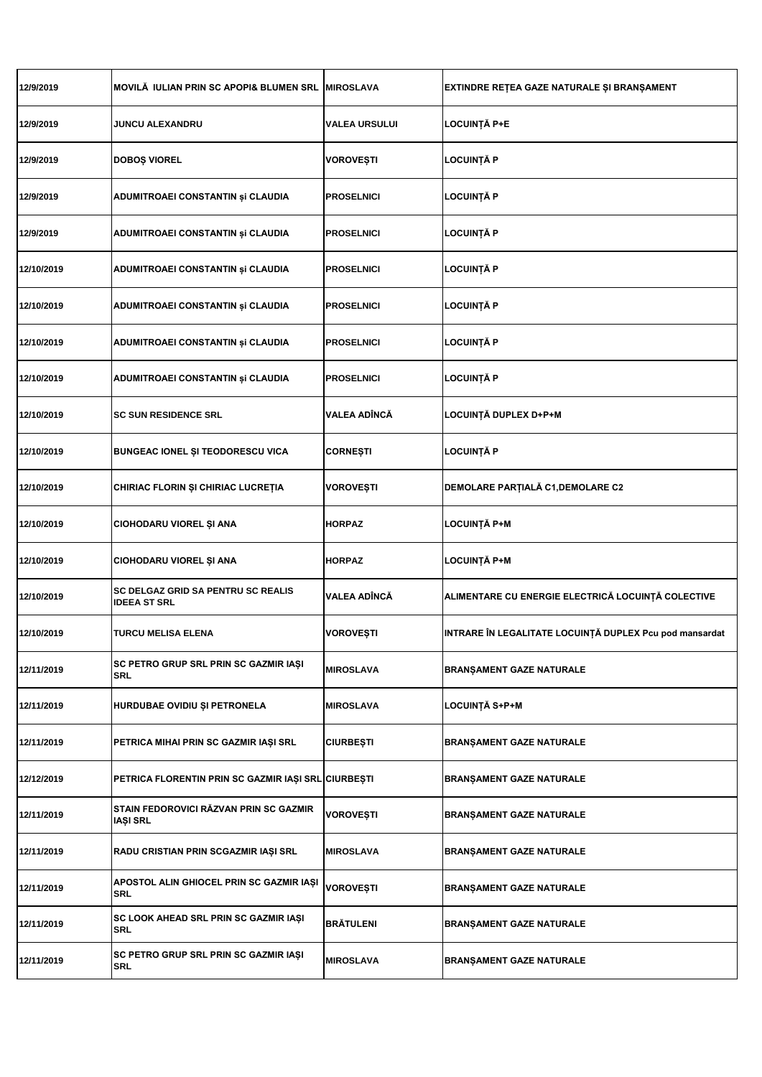| 12/9/2019  | MOVILĂ IULIAN PRIN SC APOPI& BLUMEN SRL                          | <b>MIROSLAVA</b>     | EXTINDRE REȚEA GAZE NATURALE ȘI BRANȘAMENT              |
|------------|------------------------------------------------------------------|----------------------|---------------------------------------------------------|
| 12/9/2019  | <b>JUNCU ALEXANDRU</b>                                           | <b>VALEA URSULUI</b> | LOCUINȚĂ P+E                                            |
| 12/9/2019  | DOBOȘ VIOREL                                                     | VOROVEȘTI            | LOCUINȚĂ P                                              |
| 12/9/2019  | ADUMITROAEI CONSTANTIN și CLAUDIA                                | <b>PROSELNICI</b>    | LOCUINȚĂ P                                              |
| 12/9/2019  | ADUMITROAEI CONSTANTIN și CLAUDIA                                | <b>PROSELNICI</b>    | LOCUINȚĂ P                                              |
| 12/10/2019 | ADUMITROAEI CONSTANTIN și CLAUDIA                                | <b>PROSELNICI</b>    | LOCUINȚĂ P                                              |
| 12/10/2019 | ADUMITROAEI CONSTANTIN și CLAUDIA                                | <b>PROSELNICI</b>    | LOCUINȚA P                                              |
| 12/10/2019 | ADUMITROAEI CONSTANTIN și CLAUDIA                                | <b>PROSELNICI</b>    | LOCUINȚĂ P                                              |
| 12/10/2019 | ADUMITROAEI CONSTANTIN și CLAUDIA                                | <b>PROSELNICI</b>    | LOCUINȚĂ P                                              |
| 12/10/2019 | <b>SC SUN RESIDENCE SRL</b>                                      | VALEA ADÎNCĂ         | LOCUINȚĂ DUPLEX D+P+M                                   |
| 12/10/2019 | <b>BUNGEAC IONEL ȘI TEODORESCU VICA</b>                          | CORNEȘTI             | <b>LOCUINȚĂ P</b>                                       |
| 12/10/2019 | CHIRIAC FLORIN ȘI CHIRIAC LUCREȚIA                               | VOROVEȘTI            | <b>DEMOLARE PARȚIALĂ C1, DEMOLARE C2</b>                |
| 12/10/2019 | CIOHODARU VIOREL ȘI ANA                                          | HORPAZ               | <b>LOCUINȚĂ P+M</b>                                     |
| 12/10/2019 | CIOHODARU VIOREL ȘI ANA                                          | <b>HORPAZ</b>        | <b>LOCUINȚĂ P+M</b>                                     |
| 12/10/2019 | <b>SC DELGAZ GRID SA PENTRU SC REALIS</b><br><b>IDEEA ST SRL</b> | VALEA ADÎNCĂ         | ALIMENTARE CU ENERGIE ELECTRICĂ LOCUINȚĂ COLECTIVE      |
| 12/10/2019 | TURCU MELISA ELENA                                               | VOROVEȘTI            | INTRARE ÎN LEGALITATE LOCUINȚĂ DUPLEX Pcu pod mansardat |
| 12/11/2019 | SC PETRO GRUP SRL PRIN SC GAZMIR IAȘI<br>SRL                     | <b>MIROSLAVA</b>     | <b>BRANŞAMENT GAZE NATURALE</b>                         |
| 12/11/2019 | HURDUBAE OVIDIU ȘI PETRONELA                                     | MIROSLAVA            | LOCUINȚĂ S+P+M                                          |
| 12/11/2019 | PETRICA MIHAI PRIN SC GAZMIR IAȘI SRL                            | <b>CIURBEȘTI</b>     | <b>BRANŞAMENT GAZE NATURALE</b>                         |
| 12/12/2019 | PETRICA FLORENTIN PRIN SC GAZMIR IAȘI SRL CIURBEȘTI              |                      | <b>BRANŞAMENT GAZE NATURALE</b>                         |
| 12/11/2019 | STAIN FEDOROVICI RĂZVAN PRIN SC GAZMIR<br>IAȘI SRL               | VOROVEȘTI            | <b>BRANŞAMENT GAZE NATURALE</b>                         |
| 12/11/2019 | RADU CRISTIAN PRIN SCGAZMIR IAȘI SRL                             | MIROSLAVA            | <b>BRANŞAMENT GAZE NATURALE</b>                         |
| 12/11/2019 | APOSTOL ALIN GHIOCEL PRIN SC GAZMIR IAȘI<br>SRL                  | VOROVEȘTI            | <b>BRANŞAMENT GAZE NATURALE</b>                         |
| 12/11/2019 | SC LOOK AHEAD SRL PRIN SC GAZMIR IAȘI<br>SRL                     | BRÅTULENI            | <b>BRANŞAMENT GAZE NATURALE</b>                         |
| 12/11/2019 | SC PETRO GRUP SRL PRIN SC GAZMIR IAȘI<br>SRL                     | <b>MIROSLAVA</b>     | <b>BRANŞAMENT GAZE NATURALE</b>                         |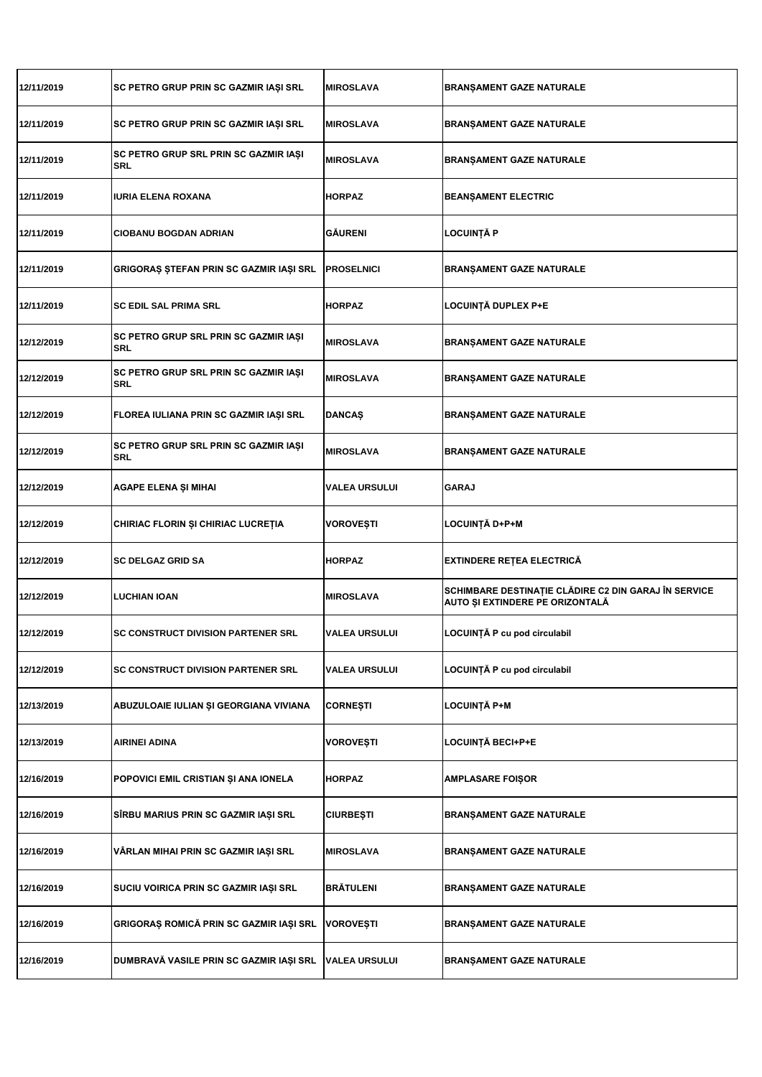| 12/11/2019 | SC PETRO GRUP PRIN SC GAZMIR IAȘI SRL        | <b>MIROSLAVA</b>     | <b>BRANŞAMENT GAZE NATURALE</b>                                                                |
|------------|----------------------------------------------|----------------------|------------------------------------------------------------------------------------------------|
| 12/11/2019 | SC PETRO GRUP PRIN SC GAZMIR IAȘI SRL        | <b>MIROSLAVA</b>     | <b>BRANŞAMENT GAZE NATURALE</b>                                                                |
| 12/11/2019 | SC PETRO GRUP SRL PRIN SC GAZMIR IAȘI<br>SRL | <b>MIROSLAVA</b>     | <b>BRANŞAMENT GAZE NATURALE</b>                                                                |
| 12/11/2019 | IURIA ELENA ROXANA                           | <b>HORPAZ</b>        | <b>BEANȘAMENT ELECTRIC</b>                                                                     |
| 12/11/2019 | <b>CIOBANU BOGDAN ADRIAN</b>                 | <b>GÄURENI</b>       | <b>LOCUINTA P</b>                                                                              |
| 12/11/2019 | GRIGORAȘ ȘTEFAN PRIN SC GAZMIR IAȘI SRL      | <b>PROSELNICI</b>    | <b>BRANŞAMENT GAZE NATURALE</b>                                                                |
| 12/11/2019 | <b>SC EDIL SAL PRIMA SRL</b>                 | <b>HORPAZ</b>        | LOCUINȚĂ DUPLEX P+E                                                                            |
| 12/12/2019 | SC PETRO GRUP SRL PRIN SC GAZMIR IAȘI<br>SRL | <b>MIROSLAVA</b>     | <b>BRANŞAMENT GAZE NATURALE</b>                                                                |
| 12/12/2019 | SC PETRO GRUP SRL PRIN SC GAZMIR IAȘI<br>SRL | <b>MIROSLAVA</b>     | BRANŞAMENT GAZE NATURALE                                                                       |
| 12/12/2019 | FLOREA IULIANA PRIN SC GAZMIR IAȘI SRL       | <b>DANCAS</b>        | <b>BRANŞAMENT GAZE NATURALE</b>                                                                |
| 12/12/2019 | SC PETRO GRUP SRL PRIN SC GAZMIR IAȘI<br>SRL | <b>MIROSLAVA</b>     | BRANŞAMENT GAZE NATURALE                                                                       |
| 12/12/2019 | AGAPE ELENA ȘI MIHAI                         | <b>VALEA URSULUI</b> | <b>GARAJ</b>                                                                                   |
| 12/12/2019 | CHIRIAC FLORIN ȘI CHIRIAC LUCREȚIA           | VOROVEȘTI            | LOCUINȚĂ D+P+M                                                                                 |
| 12/12/2019 | <b>SC DELGAZ GRID SA</b>                     | <b>HORPAZ</b>        | <b>EXTINDERE RETEA ELECTRICA</b>                                                               |
| 12/12/2019 | <b>LUCHIAN IOAN</b>                          | <b>MIROSLAVA</b>     | SCHIMBARE DESTINAȚIE CLĂDIRE C2 DIN GARAJ ÎN SERVICE<br><b>AUTO ȘI EXTINDERE PE ORIZONTALĂ</b> |
| 12/12/2019 | <b>SC CONSTRUCT DIVISION PARTENER SRL</b>    | <b>VALEA URSULUI</b> | LOCUINȚA P cu pod circulabil                                                                   |
| 12/12/2019 | <b>SC CONSTRUCT DIVISION PARTENER SRL</b>    | <b>VALEA URSULUI</b> | LOCUINȚĂ P cu pod circulabil                                                                   |
| 12/13/2019 | ABUZULOAIE IULIAN ȘI GEORGIANA VIVIANA       | <b>CORNESTI</b>      | LOCUINȚĂ P+M                                                                                   |
| 12/13/2019 | <b>AIRINEI ADINA</b>                         | <b>VOROVEȘTI</b>     | <b>LOCUINȚĂ BECI+P+E</b>                                                                       |
| 12/16/2019 | POPOVICI EMIL CRISTIAN ȘI ANA IONELA         | <b>HORPAZ</b>        | <b>AMPLASARE FOIŞOR</b>                                                                        |
| 12/16/2019 | SÎRBU MARIUS PRIN SC GAZMIR IAŞI SRL         | <b>CIURBEȘTI</b>     | <b>BRANŞAMENT GAZE NATURALE</b>                                                                |
| 12/16/2019 | VÄRLAN MIHAI PRIN SC GAZMIR IAȘI SRL         | <b>MIROSLAVA</b>     | <b>BRANŞAMENT GAZE NATURALE</b>                                                                |
| 12/16/2019 | SUCIU VOIRICA PRIN SC GAZMIR IAȘI SRL        | <b>BRÁTULENI</b>     | <b>BRANŞAMENT GAZE NATURALE</b>                                                                |
| 12/16/2019 | GRIGORAȘ ROMICĂ PRIN SC GAZMIR IAȘI SRL      | VOROVEȘTI            | <b>BRANŞAMENT GAZE NATURALE</b>                                                                |
| 12/16/2019 | DUMBRAVĂ VASILE PRIN SC GAZMIR IAȘI SRL      | VALEA URSULUI        | <b>BRANŞAMENT GAZE NATURALE</b>                                                                |